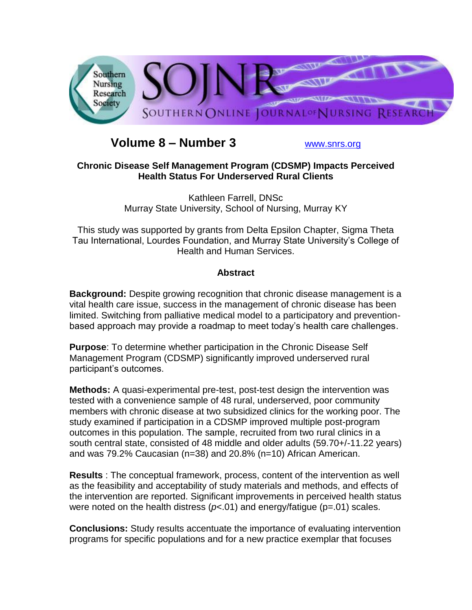

# **Volume 8 – Number 3** [www.snrs.org](http://www.snrs.org/)

# **Chronic Disease Self Management Program (CDSMP) Impacts Perceived Health Status For Underserved Rural Clients**

Kathleen Farrell, DNSc Murray State University, School of Nursing, Murray KY

This study was supported by grants from Delta Epsilon Chapter, Sigma Theta Tau International, Lourdes Foundation, and Murray State University's College of Health and Human Services.

# **Abstract**

**Background:** Despite growing recognition that chronic disease management is a vital health care issue, success in the management of chronic disease has been limited. Switching from palliative medical model to a participatory and preventionbased approach may provide a roadmap to meet today's health care challenges.

**Purpose**: To determine whether participation in the Chronic Disease Self Management Program (CDSMP) significantly improved underserved rural participant's outcomes.

**Methods:** A quasi-experimental pre-test, post-test design the intervention was tested with a convenience sample of 48 rural, underserved, poor community members with chronic disease at two subsidized clinics for the working poor. The study examined if participation in a CDSMP improved multiple post-program outcomes in this population. The sample, recruited from two rural clinics in a south central state, consisted of 48 middle and older adults (59.70+/-11.22 years) and was 79.2% Caucasian (n=38) and 20.8% (n=10) African American.

**Results** : The conceptual framework, process, content of the intervention as well as the feasibility and acceptability of study materials and methods, and effects of the intervention are reported. Significant improvements in perceived health status were noted on the health distress ( $p$ <.01) and energy/fatigue ( $p$ =.01) scales.

**Conclusions:** Study results accentuate the importance of evaluating intervention programs for specific populations and for a new practice exemplar that focuses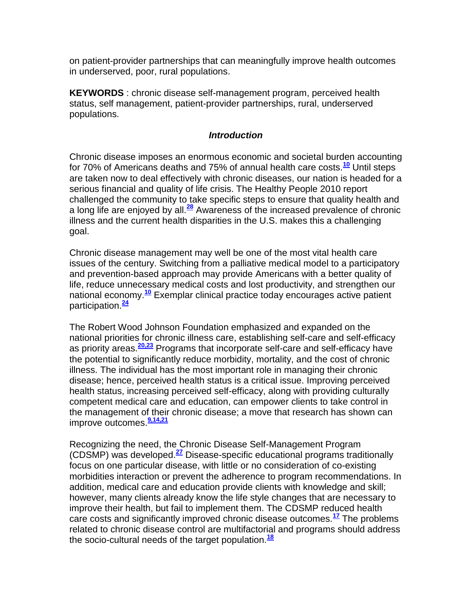on patient-provider partnerships that can meaningfully improve health outcomes in underserved, poor, rural populations.

**KEYWORDS** : chronic disease self-management program, perceived health status, self management, patient-provider partnerships, rural, underserved populations.

## *Introduction*

Chronic disease imposes an enormous economic and societal burden accounting for 70% of Americans deaths and 75% of annual health care costs.**[10](http://snrs.org/publications/SOJNR_articles2/n)** Until steps are taken now to deal effectively with chronic diseases, our nation is headed for a serious financial and quality of life crisis. The Healthy People 2010 report challenged the community to take specific steps to ensure that quality health and a long life are enjoyed by all.**[28](http://snrs.org/publications/SOJNR_articles2/n)** Awareness of the increased prevalence of chronic illness and the current health disparities in the U.S. makes this a challenging goal.

Chronic disease management may well be one of the most vital health care issues of the century. Switching from a palliative medical model to a participatory and prevention-based approach may provide Americans with a better quality of life, reduce unnecessary medical costs and lost productivity, and strengthen our national economy.**[10](http://snrs.org/publications/SOJNR_articles2/n)** Exemplar clinical practice today encourages active patient participation.**[24](http://snrs.org/publications/SOJNR_articles2/n)**

The Robert Wood Johnson Foundation emphasized and expanded on the national priorities for chronic illness care, establishing self-care and self-efficacy as priority areas.**[20,23](http://snrs.org/publications/SOJNR_articles2/n)** Programs that incorporate self-care and self-efficacy have the potential to significantly reduce morbidity, mortality, and the cost of chronic illness. The individual has the most important role in managing their chronic disease; hence, perceived health status is a critical issue. Improving perceived health status, increasing perceived self-efficacy, along with providing culturally competent medical care and education, can empower clients to take control in the management of their chronic disease; a move that research has shown can improve outcomes.**[9,14,21](http://snrs.org/publications/SOJNR_articles2/n)**

Recognizing the need, the Chronic Disease Self-Management Program (CDSMP) was developed.**[27](http://snrs.org/publications/SOJNR_articles2/n)** Disease-specific educational programs traditionally focus on one particular disease, with little or no consideration of co-existing morbidities interaction or prevent the adherence to program recommendations. In addition, medical care and education provide clients with knowledge and skill; however, many clients already know the life style changes that are necessary to improve their health, but fail to implement them. The CDSMP reduced health care costs and significantly improved chronic disease outcomes.**[17](http://snrs.org/publications/SOJNR_articles2/n)** The problems related to chronic disease control are multifactorial and programs should address the socio-cultural needs of the target population.**[18](http://snrs.org/publications/SOJNR_articles2/n)**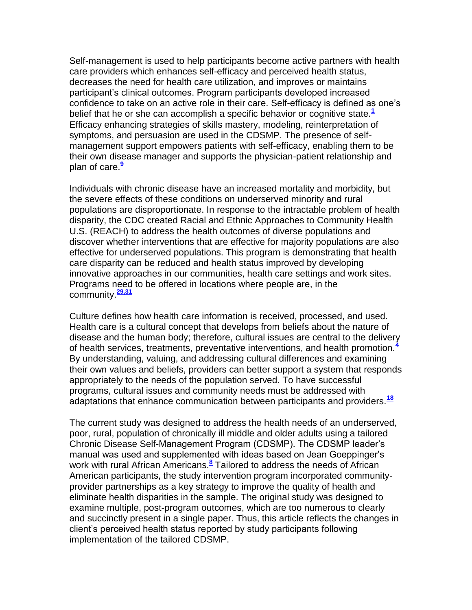Self-management is used to help participants become active partners with health care providers which enhances self-efficacy and perceived health status, decreases the need for health care utilization, and improves or maintains participant's clinical outcomes. Program participants developed increased confidence to take on an active role in their care. Self-efficacy is defined as one's belief that he or she can accomplish a specific behavior or cognitive state.**[1](http://snrs.org/publications/SOJNR_articles2/n)** Efficacy enhancing strategies of skills mastery, modeling, reinterpretation of symptoms, and persuasion are used in the CDSMP. The presence of selfmanagement support empowers patients with self-efficacy, enabling them to be their own disease manager and supports the physician-patient relationship and plan of care.**[9](http://snrs.org/publications/SOJNR_articles2/n)**

Individuals with chronic disease have an increased mortality and morbidity, but the severe effects of these conditions on underserved minority and rural populations are disproportionate. In response to the intractable problem of health disparity, the CDC created Racial and Ethnic Approaches to Community Health U.S. (REACH) to address the health outcomes of diverse populations and discover whether interventions that are effective for majority populations are also effective for underserved populations. This program is demonstrating that health care disparity can be reduced and health status improved by developing innovative approaches in our communities, health care settings and work sites. Programs need to be offered in locations where people are, in the community.**[29,31](http://snrs.org/publications/SOJNR_articles2/n)**

Culture defines how health care information is received, processed, and used. Health care is a cultural concept that develops from beliefs about the nature of disease and the human body; therefore, cultural issues are central to the delivery of health services, treatments, preventative interventions, and health promotion.**[4](http://snrs.org/publications/SOJNR_articles2/n)** By understanding, valuing, and addressing cultural differences and examining their own values and beliefs, providers can better support a system that responds appropriately to the needs of the population served. To have successful programs, cultural issues and community needs must be addressed with adaptations that enhance communication between participants and providers.**[18](http://snrs.org/publications/SOJNR_articles2/n)**

The current study was designed to address the health needs of an underserved, poor, rural, population of chronically ill middle and older adults using a tailored Chronic Disease Self-Management Program (CDSMP). The CDSMP leader's manual was used and supplemented with ideas based on Jean Goeppinger's work with rural African Americans.**[8](http://snrs.org/publications/SOJNR_articles2/n)** Tailored to address the needs of African American participants, the study intervention program incorporated communityprovider partnerships as a key strategy to improve the quality of health and eliminate health disparities in the sample. The original study was designed to examine multiple, post-program outcomes, which are too numerous to clearly and succinctly present in a single paper. Thus, this article reflects the changes in client's perceived health status reported by study participants following implementation of the tailored CDSMP.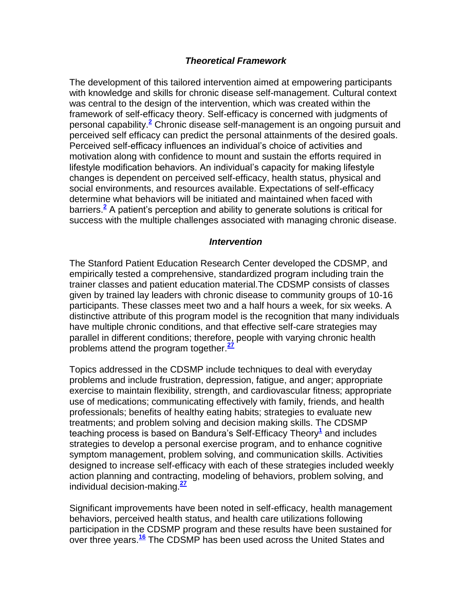# *Theoretical Framework*

The development of this tailored intervention aimed at empowering participants with knowledge and skills for chronic disease self-management. Cultural context was central to the design of the intervention, which was created within the framework of self-efficacy theory. Self-efficacy is concerned with judgments of personal capability[.](http://snrs.org/publications/SOJNR_articles2/n)**<sup>2</sup>** Chronic disease self-management is an ongoing pursuit and perceived self efficacy can predict the personal attainments of the desired goals. Perceived self-efficacy influences an individual's choice of activities and motivation along with confidence to mount and sustain the efforts required in lifestyle modification behaviors. An individual's capacity for making lifestyle changes is dependent on perceived self-efficacy, health status, physical and social environments, and resources available. Expectations of self-efficacy determine what behaviors will be initiated and maintained when faced with barriers.**[2](http://snrs.org/publications/SOJNR_articles2/n)** A patient's perception and ability to generate solutions is critical for success with the multiple challenges associated with managing chronic disease.

#### *Intervention*

The Stanford Patient Education Research Center developed the CDSMP, and empirically tested a comprehensive, standardized program including train the trainer classes and patient education material.The CDSMP consists of classes given by trained lay leaders with chronic disease to community groups of 10-16 participants. These classes meet two and a half hours a week, for six weeks. A distinctive attribute of this program model is the recognition that many individuals have multiple chronic conditions, and that effective self-care strategies may parallel in different conditions; therefore, people with varying chronic health problems attend the program together.**[27](http://snrs.org/publications/SOJNR_articles2/n)**

Topics addressed in the CDSMP include techniques to deal with everyday problems and include frustration, depression, fatigue, and anger; appropriate exercise to maintain flexibility, strength, and cardiovascular fitness; appropriate use of medications; communicating effectively with family, friends, and health professionals; benefits of healthy eating habits; strategies to evaluate new treatments; and problem solving and decision making skills. The CDSMP teaching process is based on Bandura's Self-Efficacy Theor[y](http://snrs.org/publications/SOJNR_articles2/n)**<sup>1</sup>** and includes strategies to develop a personal exercise program, and to enhance cognitive symptom management, problem solving, and communication skills. Activities designed to increase self-efficacy with each of these strategies included weekly action planning and contracting, modeling of behaviors, problem solving, and individual decision-making.**[27](http://snrs.org/publications/SOJNR_articles2/n)**

Significant improvements have been noted in self-efficacy, health management behaviors, perceived health status, and health care utilizations following participation in the CDSMP program and these results have been sustained for over three years.**[16](http://snrs.org/publications/SOJNR_articles2/n)** The CDSMP has been used across the United States and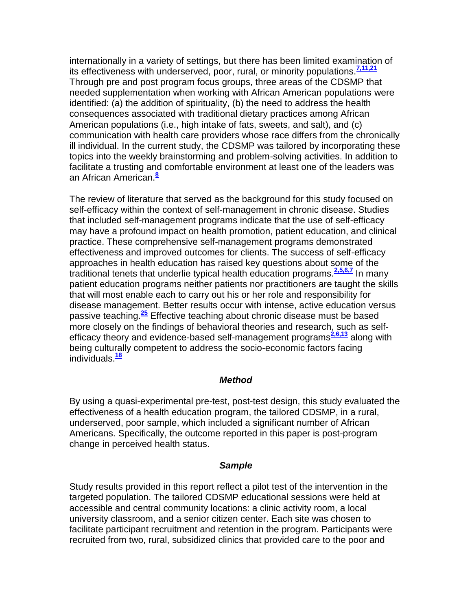internationally in a variety of settings, but there has been limited examination of its effectiveness with underserved, poor, rural, or minority populations.**[7,11,21](http://snrs.org/publications/SOJNR_articles2/n)** Through pre and post program focus groups, three areas of the CDSMP that needed supplementation when working with African American populations were identified: (a) the addition of spirituality, (b) the need to address the health consequences associated with traditional dietary practices among African American populations (i.e., high intake of fats, sweets, and salt), and (c) communication with health care providers whose race differs from the chronically ill individual. In the current study, the CDSMP was tailored by incorporating these topics into the weekly brainstorming and problem-solving activities. In addition to facilitate a trusting and comfortable environment at least one of the leaders was an African American.**[8](http://snrs.org/publications/SOJNR_articles2/n)**

The review of literature that served as the background for this study focused on self-efficacy within the context of self-management in chronic disease. Studies that included self-management programs indicate that the use of self-efficacy may have a profound impact on health promotion, patient education, and clinical practice. These comprehensive self-management programs demonstrated effectiveness and improved outcomes for clients. The success of self-efficacy approaches in health education has raised key questions about some of the traditional tenets that underlie typical health education programs.**[2,5,6,7](http://snrs.org/publications/SOJNR_articles2/n)** In many patient education programs neither patients nor practitioners are taught the skills that will most enable each to carry out his or her role and responsibility for disease management. Better results occur with intense, active education versus passive teaching.**[25](http://snrs.org/publications/SOJNR_articles2/n)** Effective teaching about chronic disease must be based more closely on the findings of behavioral theories and research, such as self-efficacy theory and evidence-based self-management programs<sup>[2,6,13](http://snrs.org/publications/SOJNR_articles2/n)</sup> along with being culturally competent to address the socio-economic factors facing individuals.**[18](http://snrs.org/publications/SOJNR_articles2/n)**

#### *Method*

By using a quasi-experimental pre-test, post-test design, this study evaluated the effectiveness of a health education program, the tailored CDSMP, in a rural, underserved, poor sample, which included a significant number of African Americans. Specifically, the outcome reported in this paper is post-program change in perceived health status.

#### *Sample*

Study results provided in this report reflect a pilot test of the intervention in the targeted population. The tailored CDSMP educational sessions were held at accessible and central community locations: a clinic activity room, a local university classroom, and a senior citizen center. Each site was chosen to facilitate participant recruitment and retention in the program. Participants were recruited from two, rural, subsidized clinics that provided care to the poor and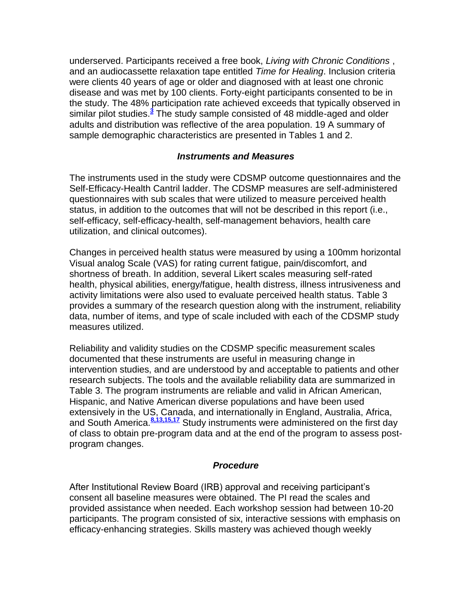underserved. Participants received a free book, *Living with Chronic Conditions* , and an audiocassette relaxation tape entitled *Time for Healing*. Inclusion criteria were clients 40 years of age or older and diagnosed with at least one chronic disease and was met by 100 clients. Forty-eight participants consented to be in the study. The 48% participation rate achieved exceeds that typically observed in similar pilot studies[.](http://snrs.org/publications/SOJNR_articles2/n)<sup>3</sup> The study sample consisted of 48 middle-aged and older adults and distribution was reflective of the area population. 19 A summary of sample demographic characteristics are presented in Tables 1 and 2.

## *Instruments and Measures*

The instruments used in the study were CDSMP outcome questionnaires and the Self-Efficacy-Health Cantril ladder. The CDSMP measures are self-administered questionnaires with sub scales that were utilized to measure perceived health status, in addition to the outcomes that will not be described in this report (i.e., self-efficacy, self-efficacy-health, self-management behaviors, health care utilization, and clinical outcomes).

Changes in perceived health status were measured by using a 100mm horizontal Visual analog Scale (VAS) for rating current fatigue, pain/discomfort, and shortness of breath. In addition, several Likert scales measuring self-rated health, physical abilities, energy/fatigue, health distress, illness intrusiveness and activity limitations were also used to evaluate perceived health status. Table 3 provides a summary of the research question along with the instrument, reliability data, number of items, and type of scale included with each of the CDSMP study measures utilized.

Reliability and validity studies on the CDSMP specific measurement scales documented that these instruments are useful in measuring change in intervention studies, and are understood by and acceptable to patients and other research subjects. The tools and the available reliability data are summarized in Table 3. The program instruments are reliable and valid in African American, Hispanic, and Native American diverse populations and have been used extensively in the US, Canada, and internationally in England, Australia, Africa, and South America.**[8,13,15,17](http://snrs.org/publications/SOJNR_articles2/n)** Study instruments were administered on the first day of class to obtain pre-program data and at the end of the program to assess postprogram changes.

#### *Procedure*

After Institutional Review Board (IRB) approval and receiving participant's consent all baseline measures were obtained. The PI read the scales and provided assistance when needed. Each workshop session had between 10-20 participants. The program consisted of six, interactive sessions with emphasis on efficacy-enhancing strategies. Skills mastery was achieved though weekly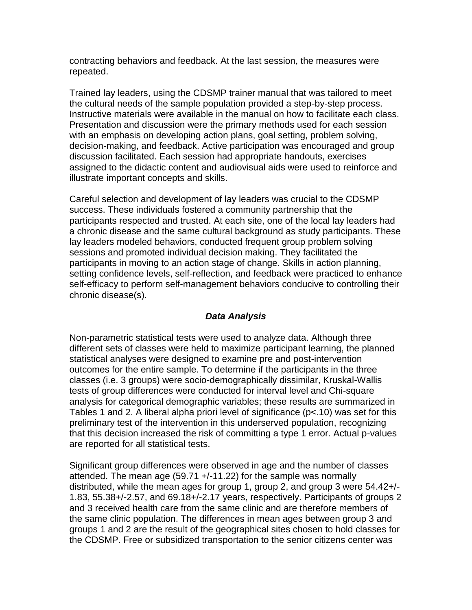contracting behaviors and feedback. At the last session, the measures were repeated.

Trained lay leaders, using the CDSMP trainer manual that was tailored to meet the cultural needs of the sample population provided a step-by-step process. Instructive materials were available in the manual on how to facilitate each class. Presentation and discussion were the primary methods used for each session with an emphasis on developing action plans, goal setting, problem solving, decision-making, and feedback. Active participation was encouraged and group discussion facilitated. Each session had appropriate handouts, exercises assigned to the didactic content and audiovisual aids were used to reinforce and illustrate important concepts and skills.

Careful selection and development of lay leaders was crucial to the CDSMP success. These individuals fostered a community partnership that the participants respected and trusted. At each site, one of the local lay leaders had a chronic disease and the same cultural background as study participants. These lay leaders modeled behaviors, conducted frequent group problem solving sessions and promoted individual decision making. They facilitated the participants in moving to an action stage of change. Skills in action planning, setting confidence levels, self-reflection, and feedback were practiced to enhance self-efficacy to perform self-management behaviors conducive to controlling their chronic disease(s).

# *Data Analysis*

Non-parametric statistical tests were used to analyze data. Although three different sets of classes were held to maximize participant learning, the planned statistical analyses were designed to examine pre and post-intervention outcomes for the entire sample. To determine if the participants in the three classes (i.e. 3 groups) were socio-demographically dissimilar, Kruskal-Wallis tests of group differences were conducted for interval level and Chi-square analysis for categorical demographic variables; these results are summarized in Tables 1 and 2. A liberal alpha priori level of significance (p<.10) was set for this preliminary test of the intervention in this underserved population, recognizing that this decision increased the risk of committing a type 1 error. Actual p-values are reported for all statistical tests.

Significant group differences were observed in age and the number of classes attended. The mean age (59.71 +/-11.22) for the sample was normally distributed, while the mean ages for group 1, group 2, and group 3 were 54.42+/- 1.83, 55.38+/-2.57, and 69.18+/-2.17 years, respectively. Participants of groups 2 and 3 received health care from the same clinic and are therefore members of the same clinic population. The differences in mean ages between group 3 and groups 1 and 2 are the result of the geographical sites chosen to hold classes for the CDSMP. Free or subsidized transportation to the senior citizens center was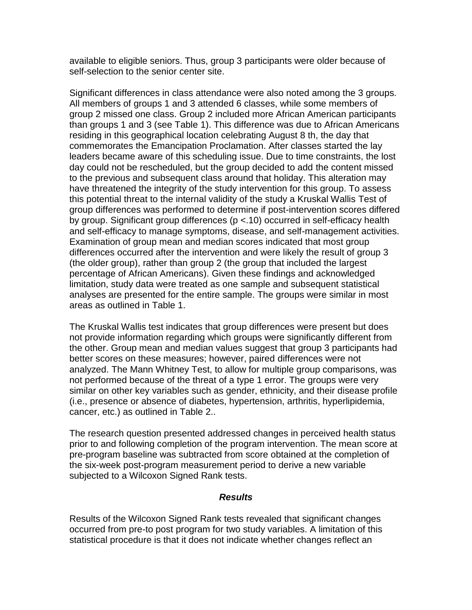available to eligible seniors. Thus, group 3 participants were older because of self-selection to the senior center site.

Significant differences in class attendance were also noted among the 3 groups. All members of groups 1 and 3 attended 6 classes, while some members of group 2 missed one class. Group 2 included more African American participants than groups 1 and 3 (see Table 1). This difference was due to African Americans residing in this geographical location celebrating August 8 th, the day that commemorates the Emancipation Proclamation. After classes started the lay leaders became aware of this scheduling issue. Due to time constraints, the lost day could not be rescheduled, but the group decided to add the content missed to the previous and subsequent class around that holiday. This alteration may have threatened the integrity of the study intervention for this group. To assess this potential threat to the internal validity of the study a Kruskal Wallis Test of group differences was performed to determine if post-intervention scores differed by group. Significant group differences (p <.10) occurred in self-efficacy health and self-efficacy to manage symptoms, disease, and self-management activities. Examination of group mean and median scores indicated that most group differences occurred after the intervention and were likely the result of group 3 (the older group), rather than group 2 (the group that included the largest percentage of African Americans). Given these findings and acknowledged limitation, study data were treated as one sample and subsequent statistical analyses are presented for the entire sample. The groups were similar in most areas as outlined in Table 1.

The Kruskal Wallis test indicates that group differences were present but does not provide information regarding which groups were significantly different from the other. Group mean and median values suggest that group 3 participants had better scores on these measures; however, paired differences were not analyzed. The Mann Whitney Test, to allow for multiple group comparisons, was not performed because of the threat of a type 1 error. The groups were very similar on other key variables such as gender, ethnicity, and their disease profile (i.e., presence or absence of diabetes, hypertension, arthritis, hyperlipidemia, cancer, etc.) as outlined in Table 2..

The research question presented addressed changes in perceived health status prior to and following completion of the program intervention. The mean score at pre-program baseline was subtracted from score obtained at the completion of the six-week post-program measurement period to derive a new variable subjected to a Wilcoxon Signed Rank tests.

#### *Results*

Results of the Wilcoxon Signed Rank tests revealed that significant changes occurred from pre-to post program for two study variables. A limitation of this statistical procedure is that it does not indicate whether changes reflect an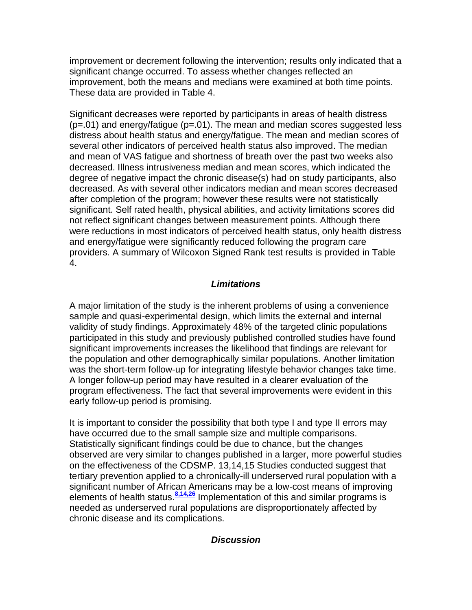improvement or decrement following the intervention; results only indicated that a significant change occurred. To assess whether changes reflected an improvement, both the means and medians were examined at both time points. These data are provided in Table 4.

Significant decreases were reported by participants in areas of health distress  $(p=.01)$  and energy/fatigue  $(p=.01)$ . The mean and median scores suggested less distress about health status and energy/fatigue. The mean and median scores of several other indicators of perceived health status also improved. The median and mean of VAS fatigue and shortness of breath over the past two weeks also decreased. Illness intrusiveness median and mean scores, which indicated the degree of negative impact the chronic disease(s) had on study participants, also decreased. As with several other indicators median and mean scores decreased after completion of the program; however these results were not statistically significant. Self rated health, physical abilities, and activity limitations scores did not reflect significant changes between measurement points. Although there were reductions in most indicators of perceived health status, only health distress and energy/fatigue were significantly reduced following the program care providers. A summary of Wilcoxon Signed Rank test results is provided in Table 4.

# *Limitations*

A major limitation of the study is the inherent problems of using a convenience sample and quasi-experimental design, which limits the external and internal validity of study findings. Approximately 48% of the targeted clinic populations participated in this study and previously published controlled studies have found significant improvements increases the likelihood that findings are relevant for the population and other demographically similar populations. Another limitation was the short-term follow-up for integrating lifestyle behavior changes take time. A longer follow-up period may have resulted in a clearer evaluation of the program effectiveness. The fact that several improvements were evident in this early follow-up period is promising.

It is important to consider the possibility that both type I and type II errors may have occurred due to the small sample size and multiple comparisons. Statistically significant findings could be due to chance, but the changes observed are very similar to changes published in a larger, more powerful studies on the effectiveness of the CDSMP. 13,14,15 Studies conducted suggest that tertiary prevention applied to a chronically-ill underserved rural population with a significant number of African Americans may be a low-cost means of improving elements of health status.<sup>[8,14,26](http://snrs.org/publications/SOJNR_articles2/n)</sup> Implementation of this and similar programs is needed as underserved rural populations are disproportionately affected by chronic disease and its complications.

# *Discussion*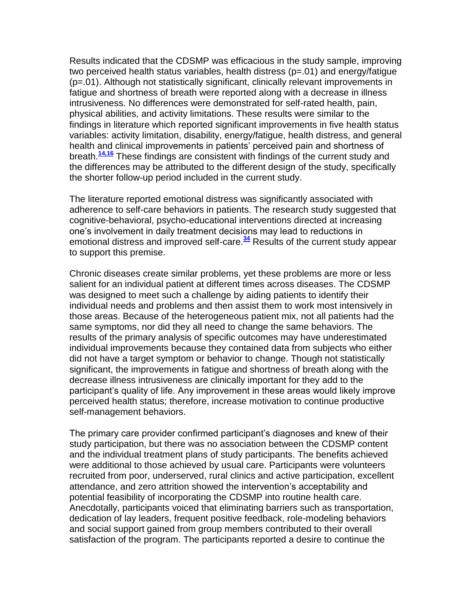Results indicated that the CDSMP was efficacious in the study sample, improving two perceived health status variables, health distress (p=.01) and energy/fatigue (p=.01). Although not statistically significant, clinically relevant improvements in fatigue and shortness of breath were reported along with a decrease in illness intrusiveness. No differences were demonstrated for self-rated health, pain, physical abilities, and activity limitations. These results were similar to the findings in literature which reported significant improvements in five health status variables: activity limitation, disability, energy/fatigue, health distress, and general health and clinical improvements in patients' perceived pain and shortness of breath.**[14,16](http://snrs.org/publications/SOJNR_articles2/n)** These findings are consistent with findings of the current study and the differences may be attributed to the different design of the study, specifically the shorter follow-up period included in the current study.

The literature reported emotional distress was significantly associated with adherence to self-care behaviors in patients. The research study suggested that cognitive-behavioral, psycho-educational interventions directed at increasing one's involvement in daily treatment decisions may lead to reductions in emotional distress and improved self-care.**[34](http://snrs.org/publications/SOJNR_articles2/n)** Results of the current study appear to support this premise.

Chronic diseases create similar problems, yet these problems are more or less salient for an individual patient at different times across diseases. The CDSMP was designed to meet such a challenge by aiding patients to identify their individual needs and problems and then assist them to work most intensively in those areas. Because of the heterogeneous patient mix, not all patients had the same symptoms, nor did they all need to change the same behaviors. The results of the primary analysis of specific outcomes may have underestimated individual improvements because they contained data from subjects who either did not have a target symptom or behavior to change. Though not statistically significant, the improvements in fatigue and shortness of breath along with the decrease illness intrusiveness are clinically important for they add to the participant's quality of life. Any improvement in these areas would likely improve perceived health status; therefore, increase motivation to continue productive self-management behaviors.

The primary care provider confirmed participant's diagnoses and knew of their study participation, but there was no association between the CDSMP content and the individual treatment plans of study participants. The benefits achieved were additional to those achieved by usual care. Participants were volunteers recruited from poor, underserved, rural clinics and active participation, excellent attendance, and zero attrition showed the intervention's acceptability and potential feasibility of incorporating the CDSMP into routine health care. Anecdotally, participants voiced that eliminating barriers such as transportation, dedication of lay leaders, frequent positive feedback, role-modeling behaviors and social support gained from group members contributed to their overall satisfaction of the program. The participants reported a desire to continue the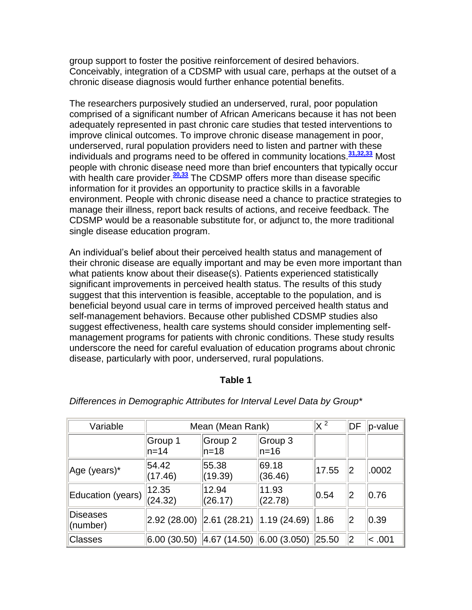group support to foster the positive reinforcement of desired behaviors. Conceivably, integration of a CDSMP with usual care, perhaps at the outset of a chronic disease diagnosis would further enhance potential benefits.

The researchers purposively studied an underserved, rural, poor population comprised of a significant number of African Americans because it has not been adequately represented in past chronic care studies that tested interventions to improve clinical outcomes. To improve chronic disease management in poor, underserved, rural population providers need to listen and partner with these individuals and programs need to be offered in community locations.**[31,32,33](http://snrs.org/publications/SOJNR_articles2/n)** Most people with chronic disease need more than brief encounters that typically occur with health care provider.<sup>[30,33](http://snrs.org/publications/SOJNR_articles2/n)</sup> The CDSMP offers more than disease specific information for it provides an opportunity to practice skills in a favorable environment. People with chronic disease need a chance to practice strategies to manage their illness, report back results of actions, and receive feedback. The CDSMP would be a reasonable substitute for, or adjunct to, the more traditional single disease education program.

An individual's belief about their perceived health status and management of their chronic disease are equally important and may be even more important than what patients know about their disease(s). Patients experienced statistically significant improvements in perceived health status. The results of this study suggest that this intervention is feasible, acceptable to the population, and is beneficial beyond usual care in terms of improved perceived health status and self-management behaviors. Because other published CDSMP studies also suggest effectiveness, health care systems should consider implementing selfmanagement programs for patients with chronic conditions. These study results underscore the need for careful evaluation of education programs about chronic disease, particularly with poor, underserved, rural populations.

# **Table 1**

| Variable             | Mean (Mean Rank)   |                                                                                                |                    | $\rm \times$ 2 | DF | p-value |
|----------------------|--------------------|------------------------------------------------------------------------------------------------|--------------------|----------------|----|---------|
|                      | Group 1<br>$ln=14$ | Group 2 <br>$ln=18$                                                                            | Group 3<br>$ln=16$ |                |    |         |
| Age (years)*         | 54.42<br>(17.46)   | 55.38<br>(19.39)                                                                               | 69.18<br>(36.46)   | 17.55          | 12 | .0002   |
| Education (years)    | 12.35<br>(24.32)   | 12.94<br>(26.17)                                                                               | 11.93<br>(22.78)   | 0.54           | 12 | 0.76    |
| Diseases<br>(number) |                    | $\vert 2.92 \vert (28.00) \vert \vert 2.61 \vert (28.21) \vert 1.19 \vert (24.69) \vert$       |                    | 1.86           | 2  | 0.39    |
| Classes              |                    | $\vert 6.00 \vert (30.50) \vert \vert 4.67 \vert (14.50) \vert \vert 6.00 \vert (3.050) \vert$ |                    | 25.50          | 2  | < .001  |

#### *Differences in Demographic Attributes for Interval Level Data by Group\**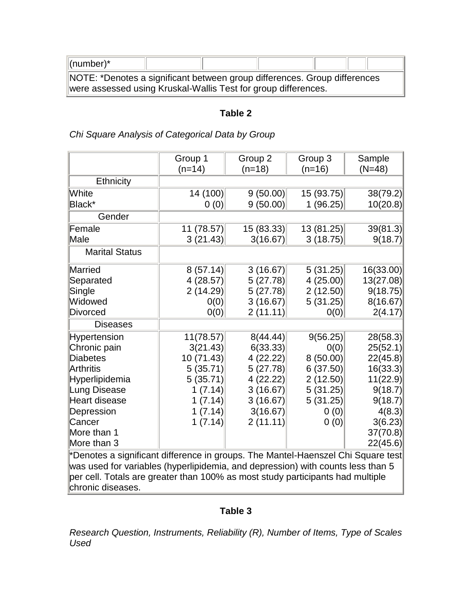| $\ $ (number)*                                                            |  |  |  |  |  |
|---------------------------------------------------------------------------|--|--|--|--|--|
| NOTE: *Denotes a significant between group differences. Group differences |  |  |  |  |  |
| were assessed using Kruskal-Wallis Test for group differences.            |  |  |  |  |  |

#### **Table 2**

×

# *Chi Square Analysis of Categorical Data by Group*

|                                                                                  | Group 1    | Group 2    | Group 3    | Sample    |  |
|----------------------------------------------------------------------------------|------------|------------|------------|-----------|--|
|                                                                                  | $(n=14)$   | $(n=18)$   | $(n=16)$   | $(N=48)$  |  |
| <b>Ethnicity</b>                                                                 |            |            |            |           |  |
| White                                                                            | 14 (100)   | 9(50.00)   | 15 (93.75) | 38(79.2)  |  |
| Black*                                                                           | 0(0)       | 9(50.00)   | 1(96.25)   | 10(20.8)  |  |
| Gender                                                                           |            |            |            |           |  |
| Female                                                                           | 11 (78.57) | 15 (83.33) | 13 (81.25) | 39(81.3)  |  |
| Male                                                                             | 3(21.43)   | 3(16.67)   | 3(18.75)   | 9(18.7)   |  |
| <b>Marital Status</b>                                                            |            |            |            |           |  |
| Married                                                                          | 8(57.14)   | 3(16.67)   | 5(31.25)   | 16(33.00) |  |
| Separated                                                                        | 4(28.57)   | 5(27.78)   | 4(25.00)   | 13(27.08) |  |
| Single                                                                           | 2(14.29)   | 5(27.78)   | 2(12.50)   | 9(18.75)  |  |
| Widowed                                                                          | 0(0)       | 3(16.67)   | 5(31.25)   | 8(16.67)  |  |
| Divorced                                                                         | 0(0)       | 2(11.11)   | 0(0)       | 2(4.17)   |  |
| <b>Diseases</b>                                                                  |            |            |            |           |  |
| Hypertension                                                                     | 11(78.57)  | 8(44.44)   | 9(56.25)   | 28(58.3)  |  |
| Chronic pain                                                                     | 3(21.43)   | 6(33.33)   | 0(0)       | 25(52.1)  |  |
| Diabetes                                                                         | 10 (71.43) | 4(22.22)   | 8(50.00)   | 22(45.8)  |  |
| Arthritis                                                                        | 5(35.71)   | 5(27.78)   | 6(37.50)   | 16(33.3)  |  |
| Hyperlipidemia                                                                   | 5(35.71)   | 4 (22.22)  | 2(12.50)   | 11(22.9)  |  |
| Lung Disease                                                                     | 1(7.14)    | 3(16.67)   | 5(31.25)   | 9(18.7)   |  |
| Heart disease                                                                    | 1(7.14)    | 3(16.67)   | 5(31.25)   | 9(18.7)   |  |
| Depression                                                                       | 1(7.14)    | 3(16.67)   | 0(0)       | 4(8.3)    |  |
| Cancer                                                                           | 1(7.14)    | 2(11.11)   | 0(0)       | 3(6.23)   |  |
| More than 1                                                                      |            |            |            | 37(70.8)  |  |
| More than 3                                                                      |            |            |            | 22(45.6)  |  |
| *Denotes a significant difference in groups. The Mantel-Haenszel Chi Square test |            |            |            |           |  |

\*Denotes a significant difference in groups. The Mantel-Haenszel Chi Square test was used for variables (hyperlipidemia, and depression) with counts less than 5 per cell. Totals are greater than 100% as most study participants had multiple chronic diseases.

# **Table 3**

*Research Question, Instruments, Reliability (R), Number of Items, Type of Scales Used*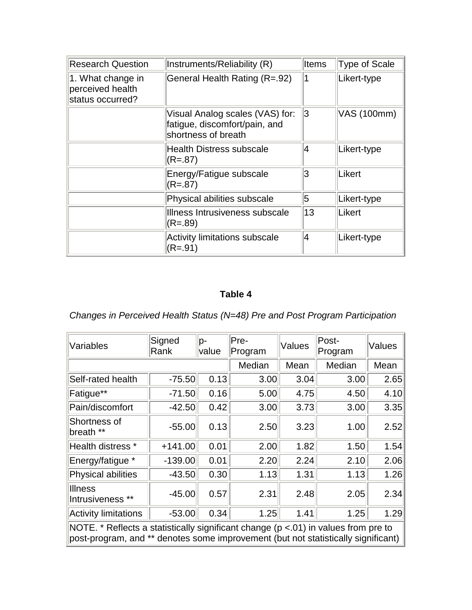| <b>Research Question</b>                                  | Instruments/Reliability (R)                                                             | Items | Type of Scale |
|-----------------------------------------------------------|-----------------------------------------------------------------------------------------|-------|---------------|
| 1. What change in<br>perceived health<br>status occurred? | General Health Rating (R=.92)                                                           | 1     | Likert-type   |
|                                                           | Visual Analog scales (VAS) for:<br>fatigue, discomfort/pain, and<br>shortness of breath | 3     | VAS (100mm)   |
|                                                           | <b>Health Distress subscale</b><br>$(R=.87)$                                            | 14    | Likert-type   |
|                                                           | Energy/Fatigue subscale<br>$(R=.87)$                                                    | 3     | Likert        |
|                                                           | Physical abilities subscale                                                             | 5     | Likert-type   |
|                                                           | Illness Intrusiveness subscale<br>$(R=.89)$                                             | 13    | Likert        |
|                                                           | <b>Activity limitations subscale</b><br>$(R = .91)$                                     | 14    | Likert-type   |

# **Table 4**

*Changes in Perceived Health Status (N=48) Pre and Post Program Participation* 

| Variables                                                                                                                                                                     | Signed<br>Rank | p-<br>value | Pre-<br>Program | Values | Post-<br>Program | Values |
|-------------------------------------------------------------------------------------------------------------------------------------------------------------------------------|----------------|-------------|-----------------|--------|------------------|--------|
|                                                                                                                                                                               |                |             | Median          | Mean   | Median           | Mean   |
| Self-rated health                                                                                                                                                             | $-75.50$       | 0.13        | 3.00            | 3.04   | 3.00             | 2.65   |
| Fatigue**                                                                                                                                                                     | $-71.50$       | 0.16        | 5.00            | 4.75   | 4.50             | 4.10   |
| Pain/discomfort                                                                                                                                                               | $-42.50$       | 0.42        | 3.00            | 3.73   | 3.00             | 3.35   |
| Shortness of<br>breath **                                                                                                                                                     | $-55.00$       | 0.13        | 2.50            | 3.23   | 1.00             | 2.52   |
| Health distress *                                                                                                                                                             | $+141.00$      | 0.01        | 2.00            | 1.82   | 1.50             | 1.54   |
| Energy/fatigue *                                                                                                                                                              | $-139.00$      | 0.01        | 2.20            | 2.24   | 2.10             | 2.06   |
| Physical abilities                                                                                                                                                            | $-43.50$       | 0.30        | 1.13            | 1.31   | 1.13             | 1.26   |
| <b>Illness</b><br>Intrusiveness **                                                                                                                                            | $-45.00$       | 0.57        | 2.31            | 2.48   | 2.05             | 2.34   |
| Activity limitations                                                                                                                                                          | $-53.00$       | 0.34        | 1.25            | 1.41   | 1.25             | 1.29   |
| NOTE. $*$ Reflects a statistically significant change ( $p < 01$ ) in values from pre to<br>post-program, and ** denotes some improvement (but not statistically significant) |                |             |                 |        |                  |        |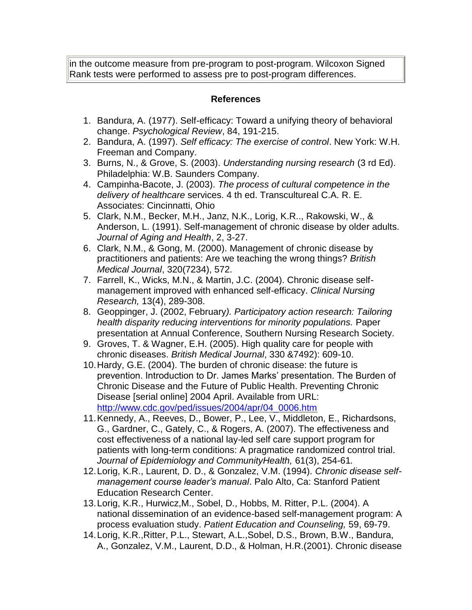in the outcome measure from pre-program to post-program. Wilcoxon Signed Rank tests were performed to assess pre to post-program differences.

# **References**

- 1. Bandura, A. (1977). Self-efficacy: Toward a unifying theory of behavioral change. *Psychological Review*, 84, 191-215.
- 2. Bandura, A. (1997). *Self efficacy: The exercise of control*. New York: W.H. Freeman and Company.
- 3. Burns, N., & Grove, S. (2003). *Understanding nursing research* (3 rd Ed). Philadelphia: W.B. Saunders Company.
- 4. Campinha-Bacote, J. (2003). *The process of cultural competence in the delivery of healthcare* services. 4 th ed. Transcultureal C.A. R. E. Associates: Cincinnatti, Ohio
- 5. Clark, N.M., Becker, M.H., Janz, N.K., Lorig, K.R.., Rakowski, W., & Anderson, L. (1991). Self-management of chronic disease by older adults. *Journal of Aging and Health*, 2, 3-27.
- 6. Clark, N.M., & Gong, M. (2000). Management of chronic disease by practitioners and patients: Are we teaching the wrong things? *British Medical Journal*, 320(7234), 572.
- 7. Farrell, K., Wicks, M.N., & Martin, J.C. (2004). Chronic disease selfmanagement improved with enhanced self-efficacy. *Clinical Nursing Research,* 13(4), 289-308.
- 8. Geoppinger, J. (2002, February*). Participatory action research: Tailoring health disparity reducing interventions for minority populations.* Paper presentation at Annual Conference, Southern Nursing Research Society.
- 9. Groves, T. & Wagner, E.H. (2005). High quality care for people with chronic diseases. *British Medical Journal*, 330 &7492): 609-10.
- 10.Hardy, G.E. (2004). The burden of chronic disease: the future is prevention. Introduction to Dr. James Marks' presentation. The Burden of Chronic Disease and the Future of Public Health. Preventing Chronic Disease [serial online] 2004 April. Available from URL: [http://www.cdc.gov/ped/issues/2004/apr/04\\_0006.htm](http://www.cdc.gov/ped/issues/2004/apr/04_0006.htm)
- 11.Kennedy, A., Reeves, D., Bower, P., Lee, V., Middleton, E., Richardsons, G., Gardner, C., Gately, C., & Rogers, A. (2007). The effectiveness and cost effectiveness of a national lay-led self care support program for patients with long-term conditions: A pragmatice randomized control trial. *Journal of Epidemiology and CommunityHealth,* 61(3), 254-61*.*
- 12.Lorig, K.R., Laurent, D. D., & Gonzalez, V.M. (1994). *Chronic disease selfmanagement course leader's manual*. Palo Alto, Ca: Stanford Patient Education Research Center.
- 13.Lorig, K.R., Hurwicz,M., Sobel, D., Hobbs, M. Ritter, P.L. (2004). A national dissemination of an evidence-based self-management program: A process evaluation study. *Patient Education and Counseling,* 59, 69-79.
- 14.Lorig, K.R.,Ritter, P.L., Stewart, A.L.,Sobel, D.S., Brown, B.W., Bandura, A., Gonzalez, V.M., Laurent, D.D., & Holman, H.R.(2001). Chronic disease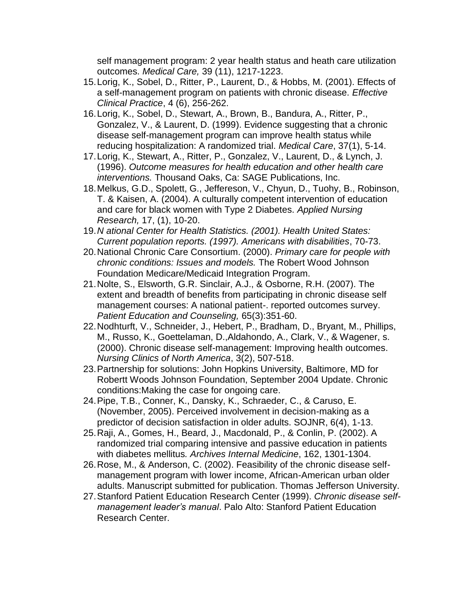self management program: 2 year health status and heath care utilization outcomes. *Medical Care,* 39 (11), 1217-1223.

- 15.Lorig, K., Sobel, D., Ritter, P., Laurent, D., & Hobbs, M. (2001). Effects of a self-management program on patients with chronic disease. *Effective Clinical Practice*, 4 (6), 256-262.
- 16.Lorig, K., Sobel, D., Stewart, A., Brown, B., Bandura, A., Ritter, P., Gonzalez, V., & Laurent, D. (1999). Evidence suggesting that a chronic disease self-management program can improve health status while reducing hospitalization: A randomized trial. *Medical Care*, 37(1), 5-14.
- 17.Lorig, K., Stewart, A., Ritter, P., Gonzalez, V., Laurent, D., & Lynch, J. (1996). *Outcome measures for health education and other health care interventions.* Thousand Oaks, Ca: SAGE Publications, Inc.
- 18.Melkus, G.D., Spolett, G., Jeffereson, V., Chyun, D., Tuohy, B., Robinson, T. & Kaisen, A. (2004). A culturally competent intervention of education and care for black women with Type 2 Diabetes. *Applied Nursing Research,* 17, (1), 10-20.
- 19.*N ational Center for Health Statistics. (2001). Health United States: Current population reports. (1997). Americans with disabilities*, 70-73.
- 20.National Chronic Care Consortium. (2000). *Primary care for people with chronic conditions: Issues and models.* The Robert Wood Johnson Foundation Medicare/Medicaid Integration Program.
- 21.Nolte, S., Elsworth, G.R. Sinclair, A.J., & Osborne, R.H. (2007). The extent and breadth of benefits from participating in chronic disease self management courses: A national patient-. reported outcomes survey. *Patient Education and Counseling,* 65(3):351-60.
- 22.Nodhturft, V., Schneider, J., Hebert, P., Bradham, D., Bryant, M., Phillips, M., Russo, K., Goettelaman, D.,Aldahondo, A., Clark, V., & Wagener, s. (2000). Chronic disease self-management: Improving health outcomes. *Nursing Clinics of North America*, 3(2), 507-518.
- 23.Partnership for solutions: John Hopkins University, Baltimore, MD for Robertt Woods Johnson Foundation, September 2004 Update. Chronic conditions:Making the case for ongoing care.
- 24.Pipe, T.B., Conner, K., Dansky, K., Schraeder, C., & Caruso, E. (November, 2005). Perceived involvement in decision-making as a predictor of decision satisfaction in older adults. SOJNR, 6(4), 1-13.
- 25.Raji, A., Gomes, H., Beard, J., Macdonald, P., & Conlin, P. (2002). A randomized trial comparing intensive and passive education in patients with diabetes mellitus*. Archives Internal Medicine*, 162, 1301-1304.
- 26.Rose, M., & Anderson, C. (2002). Feasibility of the chronic disease selfmanagement program with lower income, African-American urban older adults. Manuscript submitted for publication. Thomas Jefferson University.
- 27.Stanford Patient Education Research Center (1999). *Chronic disease selfmanagement leader's manual*. Palo Alto: Stanford Patient Education Research Center.